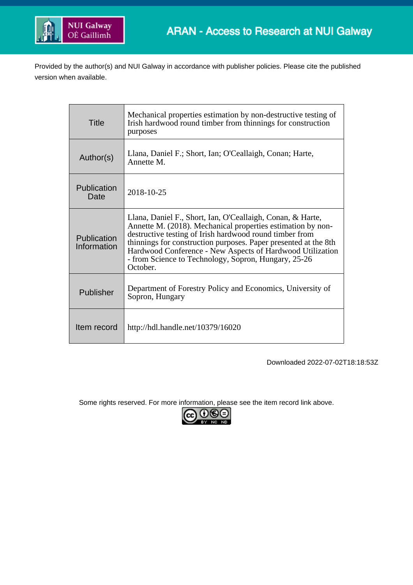

Provided by the author(s) and NUI Galway in accordance with publisher policies. Please cite the published version when available.

| Title                      | Mechanical properties estimation by non-destructive testing of<br>Irish hardwood round timber from thinnings for construction<br>purposes                                                                                                                                                                                                                                                |
|----------------------------|------------------------------------------------------------------------------------------------------------------------------------------------------------------------------------------------------------------------------------------------------------------------------------------------------------------------------------------------------------------------------------------|
| Author(s)                  | Llana, Daniel F.; Short, Ian; O'Ceallaigh, Conan; Harte,<br>Annette M.                                                                                                                                                                                                                                                                                                                   |
| <b>Publication</b><br>Date | 2018-10-25                                                                                                                                                                                                                                                                                                                                                                               |
| Publication<br>Information | Llana, Daniel F., Short, Ian, O'Ceallaigh, Conan, & Harte,<br>Annette M. (2018). Mechanical properties estimation by non-<br>destructive testing of Irish hardwood round timber from<br>thinnings for construction purposes. Paper presented at the 8th<br>Hardwood Conference - New Aspects of Hardwood Utilization<br>- from Science to Technology, Sopron, Hungary, 25-26<br>October. |
| Publisher                  | Department of Forestry Policy and Economics, University of<br>Sopron, Hungary                                                                                                                                                                                                                                                                                                            |
| Item record                | http://hdl.handle.net/10379/16020                                                                                                                                                                                                                                                                                                                                                        |

Downloaded 2022-07-02T18:18:53Z

Some rights reserved. For more information, please see the item record link above.

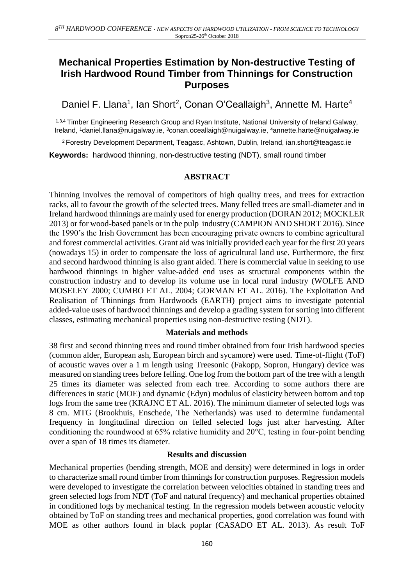# **Mechanical Properties Estimation by Non-destructive Testing of Irish Hardwood Round Timber from Thinnings for Construction Purposes**

Daniel F. Llana<sup>1</sup>, Ian Short<sup>2</sup>, Conan O'Ceallaigh<sup>3</sup>, Annette M. Harte<sup>4</sup>

1,3,4 Timber Engineering Research Group and Ryan Institute, National University of Ireland Galway, Ireland, <sup>1</sup>daniel.llana@nuigalway.ie, <sup>3</sup>conan.oceallaigh@nuigalway.ie, <sup>4</sup>annette.harte@nuigalway.ie

<sup>2</sup>Forestry Development Department, Teagasc, Ashtown, Dublin, Ireland, ian.short@teagasc.ie

**Keywords:** hardwood thinning, non-destructive testing (NDT), small round timber

#### **ABSTRACT**

Thinning involves the removal of competitors of high quality trees, and trees for extraction racks, all to favour the growth of the selected trees. Many felled trees are small-diameter and in Ireland hardwood thinnings are mainly used for energy production (DORAN 2012; MOCKLER 2013) or for wood-based panels or in the pulp industry (CAMPION AND SHORT 2016). Since the 1990's the Irish Government has been encouraging private owners to combine agricultural and forest commercial activities. Grant aid was initially provided each year for the first 20 years (nowadays 15) in order to compensate the loss of agricultural land use. Furthermore, the first and second hardwood thinning is also grant aided. There is commercial value in seeking to use hardwood thinnings in higher value-added end uses as structural components within the construction industry and to develop its volume use in local rural industry (WOLFE AND MOSELEY 2000; CUMBO ET AL. 2004; GORMAN ET AL. 2016). The Exploitation And Realisation of Thinnings from Hardwoods (EARTH) project aims to investigate potential added-value uses of hardwood thinnings and develop a grading system for sorting into different classes, estimating mechanical properties using non-destructive testing (NDT).

#### **Materials and methods**

38 first and second thinning trees and round timber obtained from four Irish hardwood species (common alder, European ash, European birch and sycamore) were used. Time-of-flight (ToF) of acoustic waves over a 1 m length using Treesonic (Fakopp, Sopron, Hungary) device was measured on standing trees before felling. One log from the bottom part of the tree with a length 25 times its diameter was selected from each tree. According to some authors there are differences in static (MOE) and dynamic (Edyn) modulus of elasticity between bottom and top logs from the same tree (KRAJNC ET AL. 2016). The minimum diameter of selected logs was 8 cm. MTG (Brookhuis, Enschede, The Netherlands) was used to determine fundamental frequency in longitudinal direction on felled selected logs just after harvesting. After conditioning the roundwood at 65% relative humidity and 20°C, testing in four-point bending over a span of 18 times its diameter.

#### **Results and discussion**

Mechanical properties (bending strength, MOE and density) were determined in logs in order to characterize small round timber from thinnings for construction purposes. Regression models were developed to investigate the correlation between velocities obtained in standing trees and green selected logs from NDT (ToF and natural frequency) and mechanical properties obtained in conditioned logs by mechanical testing. In the regression models between acoustic velocity obtained by ToF on standing trees and mechanical properties, good correlation was found with MOE as other authors found in black poplar (CASADO ET AL. 2013). As result ToF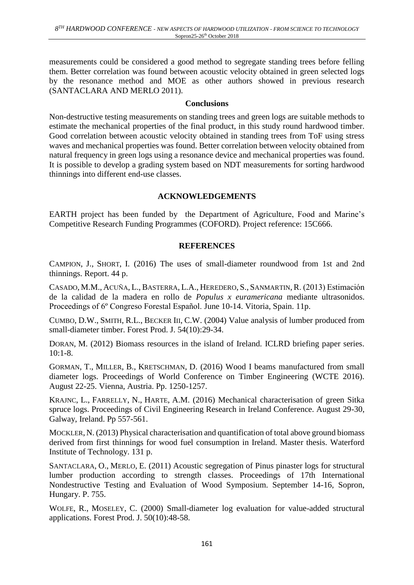measurements could be considered a good method to segregate standing trees before felling them. Better correlation was found between acoustic velocity obtained in green selected logs by the resonance method and MOE as other authors showed in previous research (SANTACLARA AND MERLO 2011).

#### **Conclusions**

Non-destructive testing measurements on standing trees and green logs are suitable methods to estimate the mechanical properties of the final product, in this study round hardwood timber. Good correlation between acoustic velocity obtained in standing trees from ToF using stress waves and mechanical properties was found. Better correlation between velocity obtained from natural frequency in green logs using a resonance device and mechanical properties was found. It is possible to develop a grading system based on NDT measurements for sorting hardwood thinnings into different end-use classes.

#### **ACKNOWLEDGEMENTS**

EARTH project has been funded by the Department of Agriculture, Food and Marine's Competitive Research Funding Programmes (COFORD). Project reference: 15C666.

#### **REFERENCES**

CAMPION, J., SHORT, I. (2016) The uses of small-diameter roundwood from 1st and 2nd thinnings. Report. 44 p.

CASADO, M.M., ACUÑA, L., BASTERRA, L.A., HEREDERO, S., SANMARTIN, R. (2013) Estimación de la calidad de la madera en rollo de *Populus x euramericana* mediante ultrasonidos. Proceedings of 6º Congreso Forestal Español. June 10-14. Vitoria, Spain. 11p.

CUMBO, D.W., SMITH, R.L., BECKER III, C.W. (2004) Value analysis of lumber produced from small-diameter timber. Forest Prod. J. 54(10):29-34.

DORAN, M. (2012) Biomass resources in the island of Ireland. ICLRD briefing paper series. 10:1-8.

GORMAN, T., MILLER, B., KRETSCHMAN, D. (2016) Wood I beams manufactured from small diameter logs. Proceedings of World Conference on Timber Engineering (WCTE 2016). August 22-25. Vienna, Austria. Pp. 1250-1257.

KRAJNC, L., FARRELLY, N., HARTE, A.M. (2016) Mechanical characterisation of green Sitka spruce logs. Proceedings of Civil Engineering Research in Ireland Conference. August 29-30, Galway, Ireland. Pp 557-561.

MOCKLER, N. (2013) Physical characterisation and quantification of total above ground biomass derived from first thinnings for wood fuel consumption in Ireland. Master thesis. Waterford Institute of Technology. 131 p.

SANTACLARA, O., MERLO, E. (2011) Acoustic segregation of Pinus pinaster logs for structural lumber production according to strength classes. Proceedings of 17th International Nondestructive Testing and Evaluation of Wood Symposium. September 14-16, Sopron, Hungary. P. 755.

WOLFE, R., MOSELEY, C. (2000) Small-diameter log evaluation for value-added structural applications. Forest Prod. J. 50(10):48-58.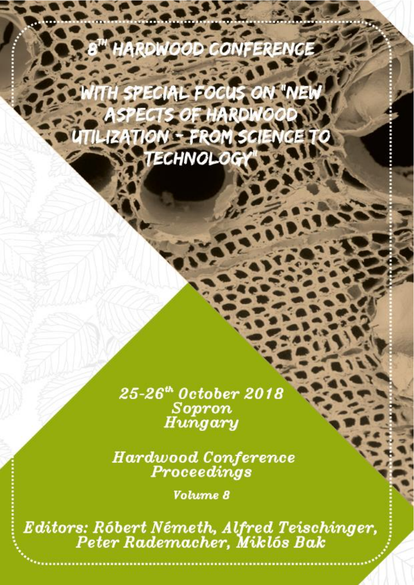# **HARDWOOD CONFERENCE**

**TH SPECIAL FOCUS ON "NEW** ASPECTS OF HARDWOOD **TILIZATION - FROM SCIENCE TO** TECHNOLOGY

> 25-26<sup>th</sup> October 2018 Sopron Hungary

**Hardwood Conference** Proceedings

Volume 8

Editors: Róbert Németh, Alfred Teischinger, Peter Rademacher, Miklós Bak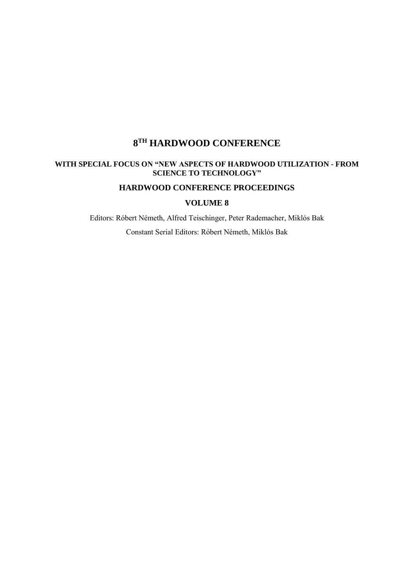### **8 TH HARDWOOD CONFERENCE**

#### **WITH SPECIAL FOCUS ON "NEW ASPECTS OF HARDWOOD UTILIZATION - FROM SCIENCE TO TECHNOLOGY"**

#### **HARDWOOD CONFERENCE PROCEEDINGS**

#### **VOLUME 8**

Editors: Róbert Németh, Alfred Teischinger, Peter Rademacher, Miklós Bak

Constant Serial Editors: Róbert Németh, Miklós Bak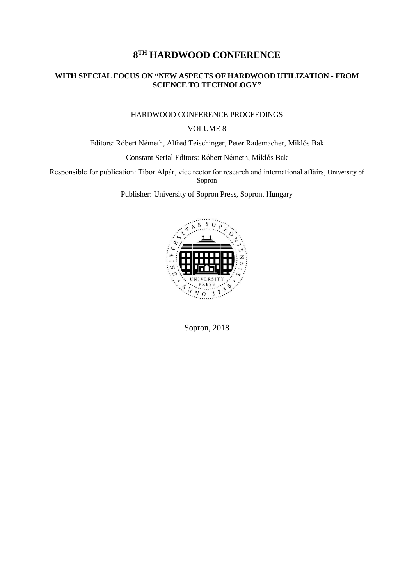## **8 TH HARDWOOD CONFERENCE**

#### **WITH SPECIAL FOCUS ON "NEW ASPECTS OF HARDWOOD UTILIZATION - FROM SCIENCE TO TECHNOLOGY"**

#### HARDWOOD CONFERENCE PROCEEDINGS

#### VOLUME 8

Editors: Róbert Németh, Alfred Teischinger, Peter Rademacher, Miklós Bak

Constant Serial Editors: Róbert Németh, Miklós Bak

Responsible for publication: Tibor Alpár, vice rector for research and international affairs, University of Sopron

Publisher: University of Sopron Press, Sopron, Hungary



Sopron, 2018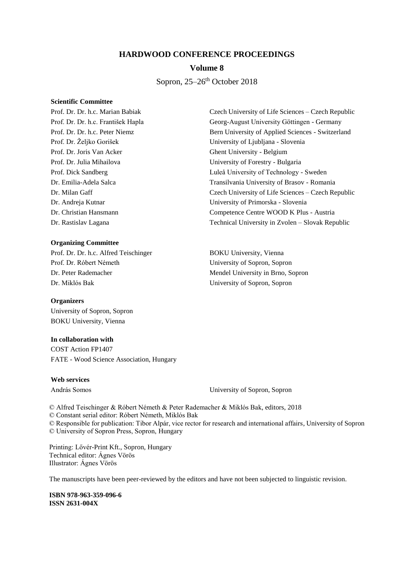#### **HARDWOOD CONFERENCE PROCEEDINGS**

#### **Volume 8**

#### Sopron,  $25-26$ <sup>th</sup> October 2018

#### **Scientific Committee**

Prof. Dr. Joris Van Acker Ghent University - Belgium

#### **Organizing Committee**

Prof. Dr. Dr. h.c. Alfred Teischinger BOKU University, Vienna Prof. Dr. Róbert Németh University of Sopron, Sopron Dr. Peter Rademacher Mendel University in Brno, Sopron Dr. Miklós Bak University of Sopron, Sopron

#### **Organizers**

University of Sopron, Sopron BOKU University, Vienna

#### **In collaboration with**

COST Action FP1407 FATE - Wood Science Association, Hungary

#### **Web services**

András Somos University of Sopron, Sopron

© Alfred Teischinger & Róbert Németh & Peter Rademacher & Miklós Bak, editors, 2018 © Constant serial editor: Róbert Németh, Miklós Bak

© Responsible for publication: Tibor Alpár, vice rector for research and international affairs, University of Sopron © University of Sopron Press, Sopron, Hungary

Printing: Lővér-Print Kft., Sopron, Hungary Technical editor: Ágnes Vörös Illustrator: Ágnes Vörös

The manuscripts have been peer-reviewed by the editors and have not been subjected to linguistic revision.

**ISBN 978-963-359-096-6 ISSN 2631-004X**

Prof. Dr. Dr. h.c. Marian Babiak Czech University of Life Sciences – Czech Republic Prof. Dr. Dr. h.c. František Hapla Georg-August University Göttingen - Germany Prof. Dr. Dr. h.c. Peter Niemz Bern University of Applied Sciences - Switzerland Prof. Dr. Željko Gorišek University of Ljubljana - Slovenia Prof. Dr. Julia Mihailova University of Forestry - Bulgaria Prof. Dick Sandberg Luleå University of Technology - Sweden Dr. Emilia-Adela Salca Transilvania University of Brasov - Romania Dr. Milan Gaff Czech University of Life Sciences – Czech Republic Dr. Andreja Kutnar University of Primorska - Slovenia Dr. Christian Hansmann Competence Centre WOOD K Plus - Austria Dr. Rastislav Lagana Technical University in Zvolen – Slovak Republic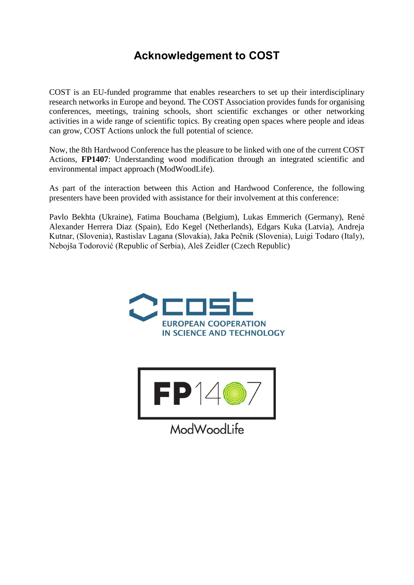# **Acknowledgement to COST**

COST is an EU-funded programme that enables researchers to set up their interdisciplinary research networks in Europe and beyond. The COST Association provides funds for organising conferences, meetings, training schools, short scientific exchanges or other networking activities in a wide range of scientific topics. By creating open spaces where people and ideas can grow, COST Actions unlock the full potential of science.

Now, the 8th Hardwood Conference has the pleasure to be linked with one of the current COST Actions, **FP1407**: Understanding wood modification through an integrated scientific and environmental impact approach (ModWoodLife).

As part of the interaction between this Action and Hardwood Conference, the following presenters have been provided with assistance for their involvement at this conference:

Pavlo Bekhta (Ukraine), Fatima Bouchama (Belgium), Lukas Emmerich (Germany), René Alexander Herrera Diaz (Spain), Edo Kegel (Netherlands), Edgars Kuka (Latvia), Andreja Kutnar, (Slovenia), Rastislav Lagana (Slovakia), Jaka Pečnik (Slovenia), Luigi Todaro (Italy), Nebojša Todorović (Republic of Serbia), Aleš Zeidler (Czech Republic)





ModWoodLife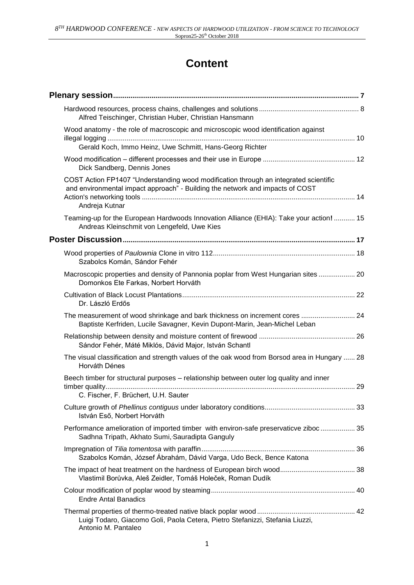# **Content**

| Alfred Teischinger, Christian Huber, Christian Hansmann                                                                                                                                 |
|-----------------------------------------------------------------------------------------------------------------------------------------------------------------------------------------|
| Wood anatomy - the role of macroscopic and microscopic wood identification against<br>Gerald Koch, Immo Heinz, Uwe Schmitt, Hans-Georg Richter                                          |
| Dick Sandberg, Dennis Jones                                                                                                                                                             |
| COST Action FP1407 "Understanding wood modification through an integrated scientific<br>and environmental impact approach" - Building the network and impacts of COST<br>Andreja Kutnar |
| Teaming-up for the European Hardwoods Innovation Alliance (EHIA): Take your action!  15<br>Andreas Kleinschmit von Lengefeld, Uwe Kies                                                  |
|                                                                                                                                                                                         |
| Szabolcs Komán, Sándor Fehér                                                                                                                                                            |
| Macroscopic properties and density of Pannonia poplar from West Hungarian sites  20<br>Domonkos Ete Farkas, Norbert Horváth                                                             |
| Dr. László Erdős                                                                                                                                                                        |
| The measurement of wood shrinkage and bark thickness on increment cores  24<br>Baptiste Kerfriden, Lucile Savagner, Kevin Dupont-Marin, Jean-Michel Leban                               |
| Sándor Fehér, Máté Miklós, Dávid Major, István Schantl                                                                                                                                  |
| The visual classification and strength values of the oak wood from Borsod area in Hungary  28<br>Horváth Dénes                                                                          |
| Beech timber for structural purposes - relationship between outer log quality and inner<br>C. Fischer, F. Brüchert, U.H. Sauter                                                         |
| István Eső, Norbert Horváth                                                                                                                                                             |
| Performance amelioration of imported timber with environ-safe preservaticve ziboc  35<br>Sadhna Tripath, Akhato Sumi, Sauradipta Ganguly                                                |
| Szabolcs Komán, József Ábrahám, Dávid Varga, Udo Beck, Bence Katona                                                                                                                     |
| Vlastimil Borůvka, Aleš Zeidler, Tomáš Holeček, Roman Dudík                                                                                                                             |
| <b>Endre Antal Banadics</b>                                                                                                                                                             |
| Luigi Todaro, Giacomo Goli, Paola Cetera, Pietro Stefanizzi, Stefania Liuzzi,<br>Antonio M. Pantaleo                                                                                    |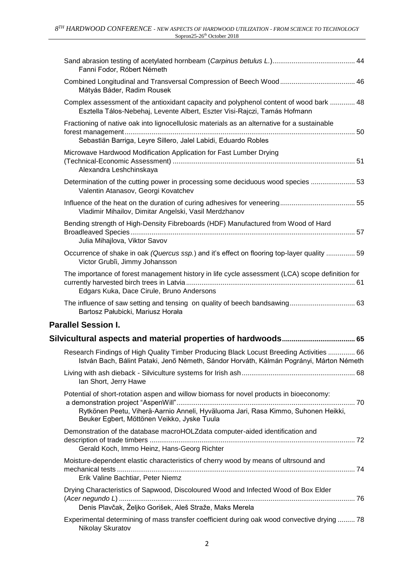| Fanni Fodor, Róbert Németh                                                                                                                                                                                                 |
|----------------------------------------------------------------------------------------------------------------------------------------------------------------------------------------------------------------------------|
| Mátyás Báder, Radim Rousek                                                                                                                                                                                                 |
| Complex assessment of the antioxidant capacity and polyphenol content of wood bark  48<br>Esztella Tálos-Nebehaj, Levente Albert, Eszter Visi-Rajczi, Tamás Hofmann                                                        |
| Fractioning of native oak into lignocellulosic materials as an alternative for a sustainable<br>Sebastián Barriga, Leyre Sillero, Jalel Labidi, Eduardo Robles                                                             |
| Microwave Hardwood Modification Application for Fast Lumber Drying<br>Alexandra Leshchinskaya                                                                                                                              |
| Determination of the cutting power in processing some deciduous wood species  53<br>Valentin Atanasov, Georgi Kovatchev                                                                                                    |
| Vladimir Mihailov, Dimitar Angelski, Vasil Merdzhanov                                                                                                                                                                      |
| Bending strength of High-Density Fibreboards (HDF) Manufactured from Wood of Hard                                                                                                                                          |
| Julia Mihajlova, Viktor Savov                                                                                                                                                                                              |
| Occurrence of shake in oak (Quercus ssp.) and it's effect on flooring top-layer quality  59<br>Victor Grubîi, Jimmy Johansson                                                                                              |
| The importance of forest management history in life cycle assessment (LCA) scope definition for<br>Edgars Kuka, Dace Cirule, Bruno Andersons                                                                               |
| Bartosz Pałubicki, Mariusz Horała                                                                                                                                                                                          |
| <b>Parallel Session I.</b>                                                                                                                                                                                                 |
|                                                                                                                                                                                                                            |
| Research Findings of High Quality Timber Producing Black Locust Breeding Activities  66<br>István Bach, Bálint Pataki, Jenő Németh, Sándor Horváth, Kálmán Pogrányi, Márton Németh                                         |
| Ian Short, Jerry Hawe                                                                                                                                                                                                      |
| Potential of short-rotation aspen and willow biomass for novel products in bioeconomy:<br>Rytkönen Peetu, Viherä-Aarnio Anneli, Hyväluoma Jari, Rasa Kimmo, Suhonen Heikki,<br>Beuker Egbert, Möttönen Veikko, Jyske Tuula |
| Demonstration of the database macroHOLZdata computer-aided identification and<br>Gerald Koch, Immo Heinz, Hans-Georg Richter                                                                                               |
| Moisture-dependent elastic characteristics of cherry wood by means of ultrsound and<br>Erik Valine Bachtiar, Peter Niemz                                                                                                   |
| Drying Characteristics of Sapwood, Discoloured Wood and Infected Wood of Box Elder<br>Denis Plavčak, Željko Gorišek, Aleš Straže, Maks Merela                                                                              |
| Experimental determining of mass transfer coefficient during oak wood convective drying  78<br>Nikolay Skuratov                                                                                                            |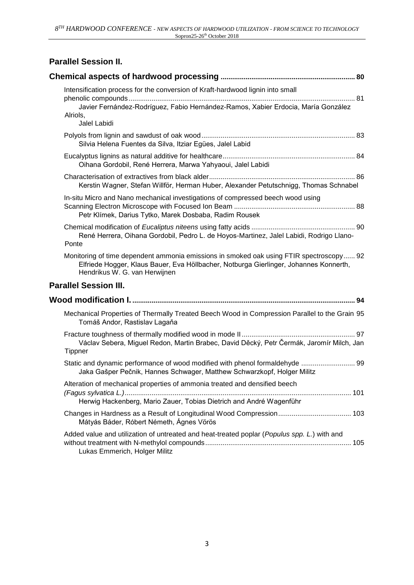| <b>Parallel Session II.</b>                                                                                                                                                                                       |  |
|-------------------------------------------------------------------------------------------------------------------------------------------------------------------------------------------------------------------|--|
|                                                                                                                                                                                                                   |  |
| Intensification process for the conversion of Kraft-hardwood lignin into small<br>Javier Fernández-Rodríguez, Fabio Hernández-Ramos, Xabier Erdocia, María González<br>Alriols,<br>Jalel Labidi                   |  |
| Silvia Helena Fuentes da Silva, Itziar Egües, Jalel Labid                                                                                                                                                         |  |
| Oihana Gordobil, René Herrera, Marwa Yahyaoui, Jalel Labidi                                                                                                                                                       |  |
| Kerstin Wagner, Stefan Willför, Herman Huber, Alexander Petutschnigg, Thomas Schnabel                                                                                                                             |  |
| In-situ Micro and Nano mechanical investigations of compressed beech wood using<br>Petr Klímek, Darius Tytko, Marek Dosbaba, Radim Rousek                                                                         |  |
| René Herrera, Oihana Gordobil, Pedro L. de Hoyos-Martinez, Jalel Labidi, Rodrigo Llano-<br>Ponte                                                                                                                  |  |
| Monitoring of time dependent ammonia emissions in smoked oak using FTIR spectroscopy 92<br>Elfriede Hogger, Klaus Bauer, Eva Höllbacher, Notburga Gierlinger, Johannes Konnerth,<br>Hendrikus W. G. van Herwijnen |  |
| <b>Parallel Session III.</b>                                                                                                                                                                                      |  |
|                                                                                                                                                                                                                   |  |
| Mechanical Properties of Thermally Treated Beech Wood in Compression Parallel to the Grain 95<br>Tomáš Andor, Rastislav Lagaňa                                                                                    |  |
| Václav Sebera, Miguel Redon, Martin Brabec, David Děcký, Petr Čermák, Jaromír Milch, Jan<br><b>Tippner</b>                                                                                                        |  |
| Static and dynamic performance of wood modified with phenol formaldehyde  99<br>Jaka Gašper Pečnik, Hannes Schwager, Matthew Schwarzkopf, Holger Militz                                                           |  |
| Alteration of mechanical properties of ammonia treated and densified beech<br>Herwig Hackenberg, Mario Zauer, Tobias Dietrich and André Wagenführ                                                                 |  |
| Mátyás Báder, Róbert Németh, Ágnes Vörös                                                                                                                                                                          |  |
| Added value and utilization of untreated and heat-treated poplar (Populus spp. L.) with and<br>Lukas Emmerich, Holger Militz                                                                                      |  |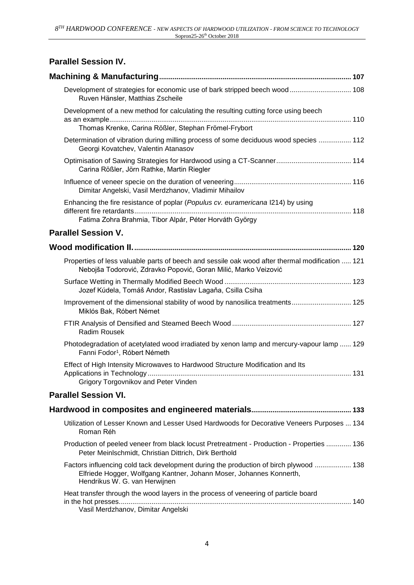# **Parallel Session IV.**

| Development of strategies for economic use of bark stripped beech wood 108<br>Ruven Hänsler, Matthias Zscheile                                                                                |
|-----------------------------------------------------------------------------------------------------------------------------------------------------------------------------------------------|
| Development of a new method for calculating the resulting cutting force using beech<br>Thomas Krenke, Carina Rößler, Stephan Frömel-Frybort                                                   |
| Determination of vibration during milling process of some deciduous wood species  112<br>Georgi Kovatchev, Valentin Atanasov                                                                  |
| Carina Rößler, Jörn Rathke, Martin Riegler                                                                                                                                                    |
| Dimitar Angelski, Vasil Merdzhanov, Vladimir Mihailov                                                                                                                                         |
| Enhancing the fire resistance of poplar (Populus cv. euramericana I214) by using<br>Fatima Zohra Brahmia, Tibor Alpár, Péter Horváth György                                                   |
| <b>Parallel Session V.</b>                                                                                                                                                                    |
|                                                                                                                                                                                               |
| Properties of less valuable parts of beech and sessile oak wood after thermal modification  121<br>Nebojša Todorović, Zdravko Popović, Goran Milić, Marko Veizović                            |
| Jozef Kúdela, Tomáš Andor, Rastislav Lagaňa, Csilla Csiha                                                                                                                                     |
| Improvement of the dimensional stability of wood by nanosilica treatments 125<br>Miklós Bak, Róbert Német                                                                                     |
| Radim Rousek                                                                                                                                                                                  |
| Photodegradation of acetylated wood irradiated by xenon lamp and mercury-vapour lamp  129<br>Fanni Fodor <sup>1</sup> , Róbert Németh                                                         |
| Effect of High Intensity Microwaves to Hardwood Structure Modification and Its<br>Grigory Torgovnikov and Peter Vinden                                                                        |
| <b>Parallel Session VI.</b>                                                                                                                                                                   |
|                                                                                                                                                                                               |
| Utilization of Lesser Known and Lesser Used Hardwoods for Decorative Veneers Purposes  134<br>Roman Réh                                                                                       |
| Production of peeled veneer from black locust Pretreatment - Production - Properties  136<br>Peter Meinlschmidt, Christian Dittrich, Dirk Berthold                                            |
| Factors influencing cold tack development during the production of birch plywood  138<br>Elfriede Hogger, Wolfgang Kantner, Johann Moser, Johannes Konnerth,<br>Hendrikus W. G. van Herwijnen |
| Heat transfer through the wood layers in the process of veneering of particle board<br>Vasil Merdzhanov, Dimitar Angelski                                                                     |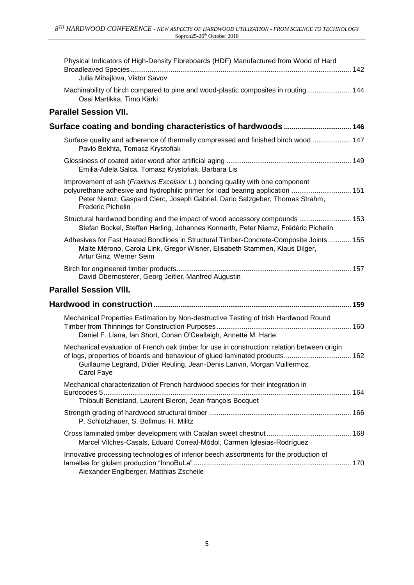| Physical Indicators of High-Density Fibreboards (HDF) Manufactured from Wood of Hard<br>Julia Mihajlova, Viktor Savov                                                                                                                                                      |  |
|----------------------------------------------------------------------------------------------------------------------------------------------------------------------------------------------------------------------------------------------------------------------------|--|
| Machinability of birch compared to pine and wood-plastic composites in routing 144<br>Ossi Martikka, Timo Kärki                                                                                                                                                            |  |
| <b>Parallel Session VII.</b>                                                                                                                                                                                                                                               |  |
|                                                                                                                                                                                                                                                                            |  |
| Surface quality and adherence of thermally compressed and finished birch wood  147<br>Pavlo Bekhta, Tomasz Krystofiak                                                                                                                                                      |  |
| Emilia-Adela Salca, Tomasz Krystofiak, Barbara Lis                                                                                                                                                                                                                         |  |
| Improvement of ash (Fraxinus Excelsior L.) bonding quality with one component<br>polyurethane adhesive and hydrophilic primer for load bearing application  151<br>Peter Niemz, Gaspard Clerc, Joseph Gabriel, Dario Salzgeber, Thomas Strahm,<br><b>Frederic Pichelin</b> |  |
| Structural hardwood bonding and the impact of wood accessory compounds  153<br>Stefan Bockel, Steffen Harling, Johannes Konnerth, Peter Niemz, Frédéric Pichelin                                                                                                           |  |
| Adhesives for Fast Heated Bondlines in Structural Timber-Concrete-Composite Joints 155<br>Malte Mérono, Carola Link, Gregor Wisner, Elisabeth Stammen, Klaus Dilger,<br>Artur Ginz, Werner Seim                                                                            |  |
| David Obernosterer, Georg Jeitler, Manfred Augustin                                                                                                                                                                                                                        |  |
| <b>Parallel Session VIII.</b>                                                                                                                                                                                                                                              |  |
|                                                                                                                                                                                                                                                                            |  |
| Mechanical Properties Estimation by Non-destructive Testing of Irish Hardwood Round<br>Daniel F. Llana, Ian Short, Conan O'Ceallaigh, Annette M. Harte                                                                                                                     |  |
| Mechanical evaluation of French oak timber for use in construction: relation between origin<br>of logs, properties of boards and behaviour of glued laminated products 162<br>Guillaume Legrand, Didier Reuling, Jean-Denis Lanvin, Morgan Vuillermoz,<br>Carol Faye       |  |
| Mechanical characterization of French hardwood species for their integration in<br>Thibault Benistand, Laurent Bleron, Jean-françois Bocquet                                                                                                                               |  |
| P. Schlotzhauer, S. Bollmus, H. Militz                                                                                                                                                                                                                                     |  |
| Marcel Vilches-Casals, Eduard Correal-Mòdol, Carmen Iglesias-Rodríguez                                                                                                                                                                                                     |  |
| Innovative processing technologies of inferior beech assortments for the production of<br>Alexander Englberger, Matthias Zscheile                                                                                                                                          |  |